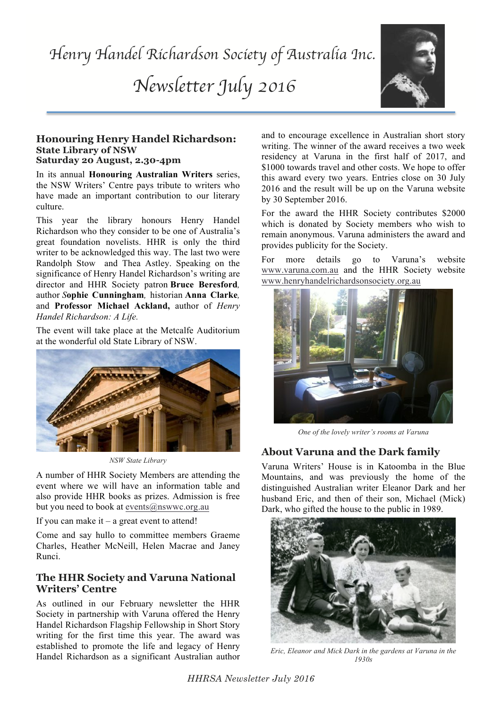*Newsletter July 2016*



#### **Honouring Henry Handel Richardson: State Library of NSW Saturday 20 August, 2.30-4pm**

In its annual **Honouring Australian Writers** series, the NSW Writers' Centre pays tribute to writers who have made an important contribution to our literary culture.

This year the library honours Henry Handel Richardson who they consider to be one of Australia's great foundation novelists. HHR is only the third writer to be acknowledged this way. The last two were Randolph Stow and Thea Astley. Speaking on the significance of Henry Handel Richardson's writing are director and HHR Society patron **Bruce Beresford***,* author *S***ophie Cunningham***,* historian **Anna Clarke***,*  and **Professor Michael Ackland,** author of *Henry Handel Richardson: A Life.*

The event will take place at the Metcalfe Auditorium at the wonderful old State Library of NSW.



*NSW State Library*

A number of HHR Society Members are attending the event where we will have an information table and also provide HHR books as prizes. Admission is free but you need to book at events@nswwc.org.au

If you can make it  $-$  a great event to attend!

Come and say hullo to committee members Graeme Charles, Heather McNeill, Helen Macrae and Janey Runci.

# **The HHR Society and Varuna National Writers' Centre**

As outlined in our February newsletter the HHR Society in partnership with Varuna offered the Henry Handel Richardson Flagship Fellowship in Short Story writing for the first time this year. The award was established to promote the life and legacy of Henry Handel Richardson as a significant Australian author and to encourage excellence in Australian short story writing. The winner of the award receives a two week residency at Varuna in the first half of 2017, and \$1000 towards travel and other costs. We hope to offer this award every two years. Entries close on 30 July 2016 and the result will be up on the Varuna website by 30 September 2016.

For the award the HHR Society contributes \$2000 which is donated by Society members who wish to remain anonymous. Varuna administers the award and provides publicity for the Society.

For more details go to Varuna's website www.varuna.com.au and the HHR Society website www.henryhandelrichardsonsociety.org.au



*One of the lovely writer's rooms at Varuna*

# **About Varuna and the Dark family**

Varuna Writers' House is in Katoomba in the Blue Mountains, and was previously the home of the distinguished Australian writer Eleanor Dark and her husband Eric, and then of their son, Michael (Mick) Dark, who gifted the house to the public in 1989.



*Eric, Eleanor and Mick Dark in the gardens at Varuna in the 1930s*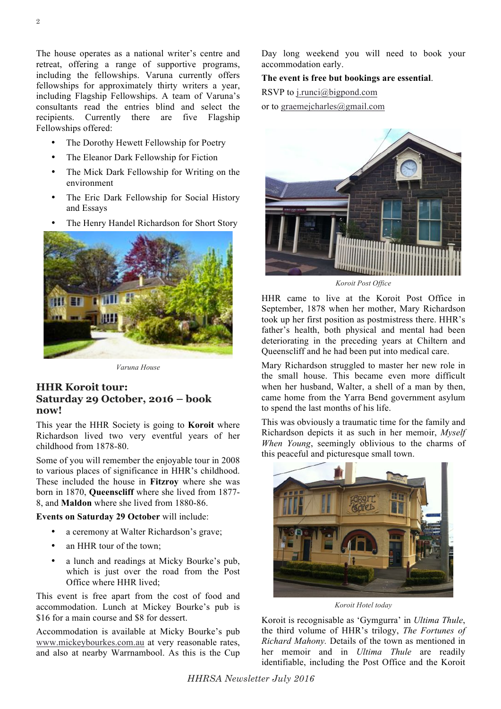The house operates as a national writer's centre and retreat, offering a range of supportive programs, including the fellowships. Varuna currently offers fellowships for approximately thirty writers a year, including Flagship Fellowships. A team of Varuna's consultants read the entries blind and select the recipients. Currently there are five Flagship Fellowships offered:

- The Dorothy Hewett Fellowship for Poetry
- The Eleanor Dark Fellowship for Fiction
- The Mick Dark Fellowship for Writing on the environment
- The Eric Dark Fellowship for Social History and Essays
- The Henry Handel Richardson for Short Story



*Varuna House*

## **HHR Koroit tour: Saturday 29 October, 2016 – book now!**

This year the HHR Society is going to **Koroit** where Richardson lived two very eventful years of her childhood from 1878-80.

Some of you will remember the enjoyable tour in 2008 to various places of significance in HHR's childhood. These included the house in **Fitzroy** where she was born in 1870, **Queenscliff** where she lived from 1877- 8, and **Maldon** where she lived from 1880-86.

#### **Events on Saturday 29 October** will include:

- a ceremony at Walter Richardson's grave;
- an HHR tour of the town;
- a lunch and readings at Micky Bourke's pub, which is just over the road from the Post Office where HHR lived;

This event is free apart from the cost of food and accommodation. Lunch at Mickey Bourke's pub is \$16 for a main course and \$8 for dessert.

Accommodation is available at Micky Bourke's pub www.mickeybourkes.com.au at very reasonable rates, and also at nearby Warrnambool. As this is the Cup Day long weekend you will need to book your accommodation early.

### **The event is free but bookings are essential**.

RSVP to j.runci@bigpond.com

or to graemejcharles@gmail.com



*Koroit Post Office*

HHR came to live at the Koroit Post Office in September, 1878 when her mother, Mary Richardson took up her first position as postmistress there. HHR's father's health, both physical and mental had been deteriorating in the preceding years at Chiltern and Queenscliff and he had been put into medical care.

Mary Richardson struggled to master her new role in the small house. This became even more difficult when her husband, Walter, a shell of a man by then, came home from the Yarra Bend government asylum to spend the last months of his life.

This was obviously a traumatic time for the family and Richardson depicts it as such in her memoir, *Myself When Young*, seemingly oblivious to the charms of this peaceful and picturesque small town.



*Koroit Hotel today*

Koroit is recognisable as 'Gymgurra' in *Ultima Thule*, the third volume of HHR's trilogy, *The Fortunes of Richard Mahony.* Details of the town as mentioned in her memoir and in *Ultima Thule* are readily identifiable, including the Post Office and the Koroit

*HHRSA Newsletter July 2016*